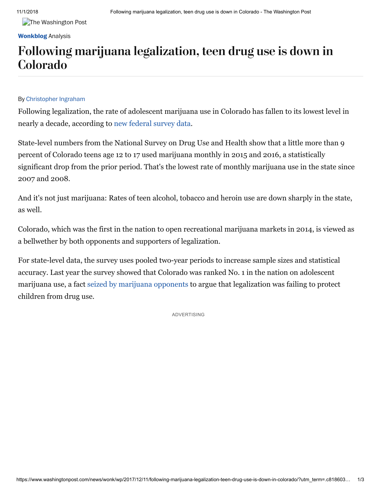**The Washington Post** 

#### **[Wonkblog](http://www.washingtonpost.com/blogs/wonkblog)** Analysis

## Following marijuana legalization, teen drug use is down in Colorado

#### By [Christopher](https://www.washingtonpost.com/people/christopher-ingraham/) Ingraham

Following legalization, the rate of adolescent marijuana use in Colorado has fallen to its lowest level in nearly a decade, according to [new federal survey data](https://www.samhsa.gov/data/sites/default/files/NSDUHsaeShortTermCHG2016/NSDUHsaeShortTermCHG2016.htm).

State-level numbers from the National Survey on Drug Use and Health show that a little more than 9 percent of Colorado teens age 12 to 17 used marijuana monthly in 2015 and 2016, a statistically significant drop from the prior period. That's the lowest rate of monthly marijuana use in the state since 2007 and 2008.

And it's not just marijuana: Rates of teen alcohol, tobacco and heroin use are down sharply in the state, as well.

Colorado, which was the first in the nation to open recreational marijuana markets in 2014, is viewed as a bellwether by both opponents and supporters of legalization.

For state-level data, the survey uses pooled two-year periods to increase sample sizes and statistical accuracy. Last year the survey showed that Colorado was ranked No. 1 in the nation on adolescent marijuana use, a fact [seized by marijuana opponents](https://learnaboutsam.org/national-survey-shows-colorado-still-1-state-country-marijuana-use-18-25-year-old-use-rate-skyrocketing/) to argue that legalization was failing to protect children from drug use.

ADVERTISING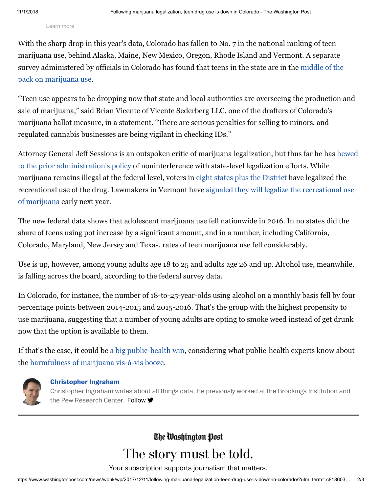Learn more

With the sharp drop in this year's data, Colorado has fallen to No. 7 in the national ranking of teen marijuana use, behind Alaska, Maine, New Mexico, Oregon, Rhode Island and Vermont. A separate [survey administered by officials in Colorado has found that teens in the state are in the middle of the](https://www.washingtonpost.com/news/wonk/wp/2016/06/21/colorado-survey-shows-what-marijuana-legalization-will-do-to-your-kids/?utm_term=.1c9ebf4b1e27) pack on marijuana use.

"Teen use appears to be dropping now that state and local authorities are overseeing the production and sale of marijuana," said Brian Vicente of Vicente Sederberg LLC, one of the drafters of Colorado's marijuana ballot measure, in a statement. "There are serious penalties for selling to minors, and regulated cannabis businesses are being vigilant in checking IDs."

[Attorney General Jeff Sessions is an outspoken critic of marijuana legalization, but thus far he has hewed](https://www.marijuanamoment.net/trump-administration-considering-marijuana-policy-changes-sessions-says/) to the prior administration's policy of noninterference with state-level legalization efforts. While marijuana remains illegal at the federal level, voters in [eight states plus the District](http://www.governing.com/gov-data/state-marijuana-laws-map-medical-recreational.html) have legalized the [recreational use of the drug. Lawmakers in Vermont have signaled they will legalize the recreational use](https://www.marijuanamoment.net/vermont-governor-comfortable-legalizing-marijuana-early-2018/) of marijuana early next year.

The new federal data shows that adolescent marijuana use fell nationwide in 2016. In no states did the share of teens using pot increase by a significant amount, and in a number, including California, Colorado, Maryland, New Jersey and Texas, rates of teen marijuana use fell considerably.

Use is up, however, among young adults age 18 to 25 and adults age 26 and up. Alcohol use, meanwhile, is falling across the board, according to the federal survey data.

In Colorado, for instance, the number of 18-to-25-year-olds using alcohol on a monthly basis fell by four percentage points between 2014-2015 and 2015-2016. That's the group with the highest propensity to use marijuana, suggesting that a number of young adults are opting to smoke weed instead of get drunk now that the option is available to them.

If that's the case, it could be [a big public-health win,](https://www.washingtonpost.com/news/wonk/wp/2017/12/01/medical-marijuana-took-a-bite-out-of-alcohol-sales-recreational-pot-could-take-an-even-bigger-one/) considering what public-health experts know about the [harmfulness of marijuana vis-à-vis booze.](https://www.washingtonpost.com/news/wonk/wp/2016/09/09/arizonas-governor-asked-voters-to-fact-check-whether-pot-is-safer-than-alcohol-so-we-did/)



#### **[Christopher](https://www.washingtonpost.com/people/christopher-ingraham/) Ingraham**

Christopher Ingraham writes about all things data. He previously worked at the Brookings Institution and the Pew Research Center. [Follow](https://twitter.com/intent/follow?screen_name=_cingraham) <del>■</del>

### The Washington Post

# The story must be told.

Your subscription supports journalism that matters.